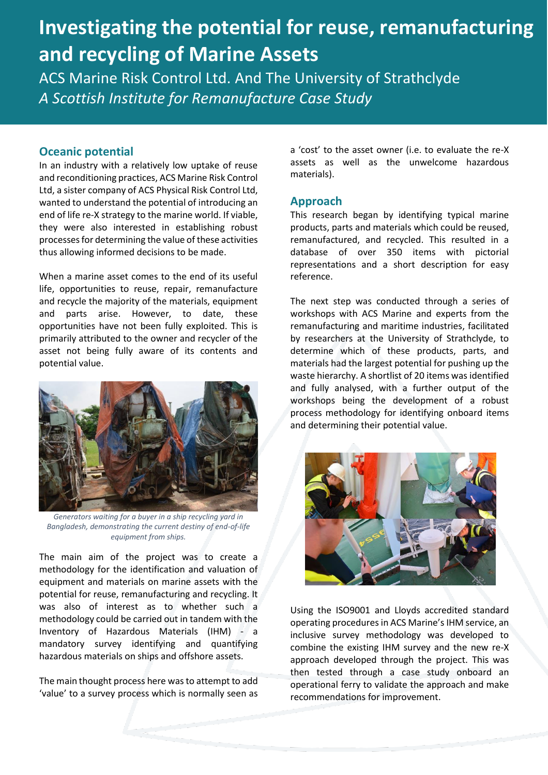# **Investigating the potential for reuse, remanufacturing and recycling of Marine Assets**

ACS Marine Risk Control Ltd. And The University of Strathclyde *A Scottish Institute for Remanufacture Case Study* 

### **Oceanic potential**

In an industry with a relatively low uptake of reuse and reconditioning practices, ACS Marine Risk Control Ltd, a sister company of ACS Physical Risk Control Ltd, wanted to understand the potential of introducing an end of life re-X strategy to the marine world. If viable, they were also interested in establishing robust processes for determining the value of these activities thus allowing informed decisions to be made.

When a marine asset comes to the end of its useful life, opportunities to reuse, repair, remanufacture and recycle the majority of the materials, equipment and parts arise. However, to date, these opportunities have not been fully exploited. This is primarily attributed to the owner and recycler of the asset not being fully aware of its contents and potential value.



*Generators waiting for a buyer in a ship recycling yard in Bangladesh, demonstrating the current destiny of end-of-life equipment from ships.*

The main aim of the project was to create a methodology for the identification and valuation of equipment and materials on marine assets with the potential for reuse, remanufacturing and recycling. It was also of interest as to whether such a methodology could be carried out in tandem with the Inventory of Hazardous Materials (IHM) - a mandatory survey identifying and quantifying hazardous materials on ships and offshore assets.

The main thought process here was to attempt to add 'value' to a survey process which is normally seen as a 'cost' to the asset owner (i.e. to evaluate the re-X assets as well as the unwelcome hazardous materials).

#### **Approach**

This research began by identifying typical marine products, parts and materials which could be reused, remanufactured, and recycled. This resulted in a database of over 350 items with pictorial representations and a short description for easy reference.

The next step was conducted through a series of workshops with ACS Marine and experts from the remanufacturing and maritime industries, facilitated by researchers at the University of Strathclyde, to determine which of these products, parts, and materials had the largest potential for pushing up the waste hierarchy. A shortlist of 20 items was identified and fully analysed, with a further output of the workshops being the development of a robust process methodology for identifying onboard items and determining their potential value.



Using the ISO9001 and Lloyds accredited standard operating procedures in ACS Marine's IHM service, an inclusive survey methodology was developed to combine the existing IHM survey and the new re-X approach developed through the project. This was then tested through a case study onboard an operational ferry to validate the approach and make recommendations for improvement.